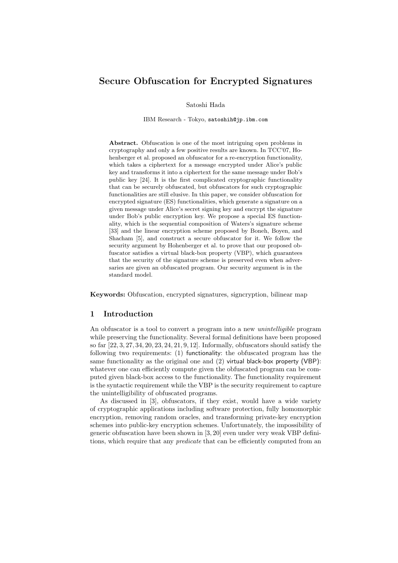# Secure Obfuscation for Encrypted Signatures

Satoshi Hada

IBM Research - Tokyo, satoshih@jp.ibm.com

Abstract. Obfuscation is one of the most intriguing open problems in cryptography and only a few positive results are known. In TCC'07, Hohenberger et al. proposed an obfuscator for a re-encryption functionality, which takes a ciphertext for a message encrypted under Alice's public key and transforms it into a ciphertext for the same message under Bob's public key [24]. It is the first complicated cryptographic functionality that can be securely obfuscated, but obfuscators for such cryptographic functionalities are still elusive. In this paper, we consider obfuscation for encrypted signature (ES) functionalities, which generate a signature on a given message under Alice's secret signing key and encrypt the signature under Bob's public encryption key. We propose a special ES functionality, which is the sequential composition of Waters's signature scheme [33] and the linear encryption scheme proposed by Boneh, Boyen, and Shacham [5], and construct a secure obfuscator for it. We follow the security argument by Hohenberger et al. to prove that our proposed obfuscator satisfies a virtual black-box property (VBP), which guarantees that the security of the signature scheme is preserved even when adversaries are given an obfuscated program. Our security argument is in the standard model.

Keywords: Obfuscation, encrypted signatures, signcryption, bilinear map

#### 1 Introduction

An obfuscator is a tool to convert a program into a new *unintelligible* program while preserving the functionality. Several formal definitions have been proposed so far [22, 3, 27, 34, 20, 23, 24, 21, 9, 12]. Informally, obfuscators should satisfy the following two requirements: (1) functionality: the obfuscated program has the same functionality as the original one and (2) virtual black-box property (VBP): whatever one can efficiently compute given the obfuscated program can be computed given black-box access to the functionality. The functionality requirement is the syntactic requirement while the VBP is the security requirement to capture the unintelligibility of obfuscated programs.

As discussed in [3], obfuscators, if they exist, would have a wide variety of cryptographic applications including software protection, fully homomorphic encryption, removing random oracles, and transforming private-key encryption schemes into public-key encryption schemes. Unfortunately, the impossibility of generic obfuscation have been shown in [3, 20] even under very weak VBP definitions, which require that any *predicate* that can be efficiently computed from an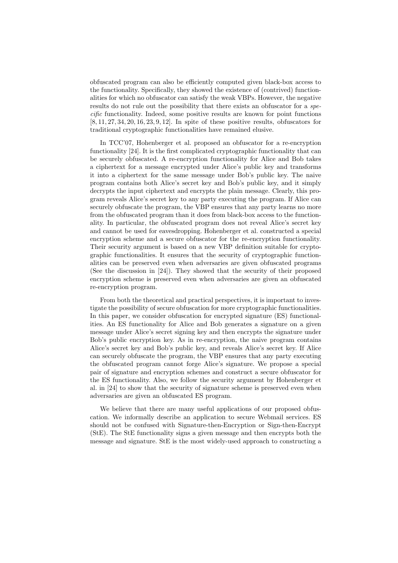obfuscated program can also be efficiently computed given black-box access to the functionality. Specifically, they showed the existence of (contrived) functionalities for which no obfuscator can satisfy the weak VBPs. However, the negative results do not rule out the possibility that there exists an obfuscator for a specific functionality. Indeed, some positive results are known for point functions [8, 11, 27, 34, 20, 16, 23, 9, 12]. In spite of these positive results, obfuscators for traditional cryptographic functionalities have remained elusive.

In TCC'07, Hohenberger et al. proposed an obfuscator for a re-encryption functionality [24]. It is the first complicated cryptographic functionality that can be securely obfuscated. A re-encryption functionality for Alice and Bob takes a ciphertext for a message encrypted under Alice's public key and transforms it into a ciphertext for the same message under Bob's public key. The naive program contains both Alice's secret key and Bob's public key, and it simply decrypts the input ciphertext and encrypts the plain message. Clearly, this program reveals Alice's secret key to any party executing the program. If Alice can securely obfuscate the program, the VBP ensures that any party learns no more from the obfuscated program than it does from black-box access to the functionality. In particular, the obfuscated program does not reveal Alice's secret key and cannot be used for eavesdropping. Hohenberger et al. constructed a special encryption scheme and a secure obfuscator for the re-encryption functionality. Their security argument is based on a new VBP definition suitable for cryptographic functionalities. It ensures that the security of cryptographic functionalities can be preserved even when adversaries are given obfuscated programs (See the discussion in [24]). They showed that the security of their proposed encryption scheme is preserved even when adversaries are given an obfuscated re-encryption program.

From both the theoretical and practical perspectives, it is important to investigate the possibility of secure obfuscation for more cryptographic functionalities. In this paper, we consider obfuscation for encrypted signature (ES) functionalities. An ES functionality for Alice and Bob generates a signature on a given message under Alice's secret signing key and then encrypts the signature under Bob's public encryption key. As in re-encryption, the naive program contains Alice's secret key and Bob's public key, and reveals Alice's secret key. If Alice can securely obfuscate the program, the VBP ensures that any party executing the obfuscated program cannot forge Alice's signature. We propose a special pair of signature and encryption schemes and construct a secure obfuscator for the ES functionality. Also, we follow the security argument by Hohenberger et al. in [24] to show that the security of signature scheme is preserved even when adversaries are given an obfuscated ES program.

We believe that there are many useful applications of our proposed obfuscation. We informally describe an application to secure Webmail services. ES should not be confused with Signature-then-Encryption or Sign-then-Encrypt (StE). The StE functionality signs a given message and then encrypts both the message and signature. StE is the most widely-used approach to constructing a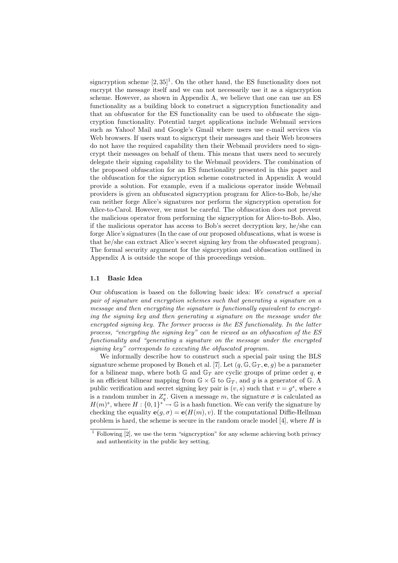signcryption scheme  $[2,35]$ <sup>1</sup>. On the other hand, the ES functionality does not encrypt the message itself and we can not necessarily use it as a sign cryption scheme. However, as shown in Appendix A, we believe that one can use an ES functionality as a building block to construct a signcryption functionality and that an obfuscator for the ES functionality can be used to obfuscate the signcryption functionality. Potential target applications include Webmail services such as Yahoo! Mail and Google's Gmail where users use e-mail services via Web browsers. If users want to signcrypt their messages and their Web browsers do not have the required capability then their Webmail providers need to signcrypt their messages on behalf of them. This means that users need to securely delegate their signing capability to the Webmail providers. The combination of the proposed obfuscation for an ES functionality presented in this paper and the obfuscation for the signcryption scheme constructed in Appendix A would provide a solution. For example, even if a malicious operator inside Webmail providers is given an obfuscated signcryption program for Alice-to-Bob, he/she can neither forge Alice's signatures nor perform the signcryption operation for Alice-to-Carol. However, we must be careful. The obfuscation does not prevent the malicious operator from performing the signcryption for Alice-to-Bob. Also, if the malicious operator has access to Bob's secret decryption key, he/she can forge Alice's signatures (In the case of our proposed obfuscations, what is worse is that he/she can extract Alice's secret signing key from the obfuscated program). The formal security argument for the signcryption and obfuscation outlined in Appendix A is outside the scope of this proceedings version.

#### 1.1 Basic Idea

Our obfuscation is based on the following basic idea: We construct a special pair of signature and encryption schemes such that generating a signature on a message and then encrypting the signature is functionally equivalent to encrypting the signing key and then generating a signature on the message under the encrypted signing key. The former process is the ES functionality. In the latter process, "encrypting the signing key" can be viewed as an obfuscation of the ES functionality and "generating a signature on the message under the encrypted signing key" corresponds to executing the obfuscated program.

We informally describe how to construct such a special pair using the BLS signature scheme proposed by Boneh et al. [7]. Let  $(q, \mathbb{G}, \mathbb{G}_T, \mathbf{e}, g)$  be a parameter for a bilinear map, where both  $\mathbb{G}$  and  $\mathbb{G}_T$  are cyclic groups of prime order q, e is an efficient bilinear mapping from  $\mathbb{G} \times \mathbb{G}$  to  $\mathbb{G}_T$ , and q is a generator of  $\mathbb{G}$ . A public verification and secret signing key pair is  $(v, s)$  such that  $v = g<sup>s</sup>$ , where s is a random number in  $Z_q^*$ . Given a message m, the signature  $\sigma$  is calculated as  $H(m)^s$ , where  $H: \{0,1\}^{\ast} \to \mathbb{G}$  is a hash function. We can verify the signature by checking the equality  $e(g, \sigma) = e(H(m), v)$ . If the computational Diffie-Hellman problem is hard, the scheme is secure in the random oracle model  $[4]$ , where  $H$  is

<sup>1</sup> Following [2], we use the term "signcryption" for any scheme achieving both privacy and authenticity in the public key setting.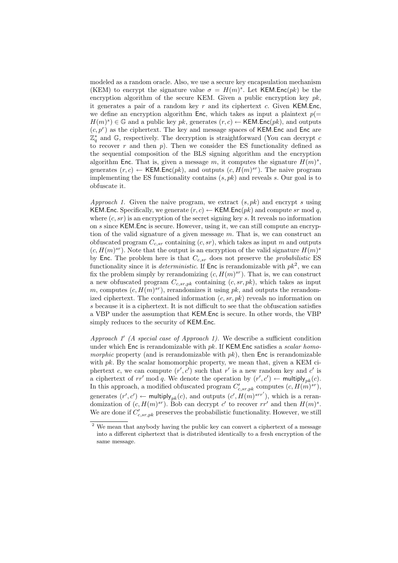modeled as a random oracle. Also, we use a secure key encapsulation mechanism (KEM) to encrypt the signature value  $\sigma = H(m)^s$ . Let KEM.Enc $(pk)$  be the encryption algorithm of the secure KEM. Given a public encryption key  $pk$ , it generates a pair of a random key  $r$  and its ciphertext  $c$ . Given KEM.Enc, we define an encryption algorithm Enc, which takes as input a plaintext  $p(=$  $H(m)^s$ )  $\in \mathbb{G}$  and a public key pk, generates  $(r, c) \leftarrow$  KEM.Enc(pk), and outputs  $(c, p<sup>r</sup>)$  as the ciphertext. The key and message spaces of KEM.Enc and Enc are  $\mathbb{Z}_q^*$  and G, respectively. The decryption is straightforward (You can decrypt c to recover r and then p). Then we consider the ES functionality defined as the sequential composition of the BLS signing algorithm and the encryption algorithm Enc. That is, given a message m, it computes the signature  $H(m)^s$ , generates  $(r, c) \leftarrow \text{KEM}$ . Enc $(pk)$ , and outputs  $(c, H(m)^{sr})$ . The naive program implementing the ES functionality contains  $(s, pk)$  and reveals s. Our goal is to obfuscate it.

Approach 1. Given the naive program, we extract  $(s, pk)$  and encrypt s using KEM.Enc. Specifically, we generate  $(r, c) \leftarrow$  KEM.Enc $(pk)$  and compute sr mod q, where  $(c, sr)$  is an encryption of the secret signing key s. It reveals no information on s since KEM.Enc is secure. However, using it, we can still compute an encryption of the valid signature of a given message  $m$ . That is, we can construct an obfuscated program  $C_{c,sr}$  containing  $(c, sr)$ , which takes as input m and outputs  $(c, H(m)^{sr})$ . Note that the output is an encryption of the valid signature  $H(m)^s$ by Enc. The problem here is that  $C_{c,sr}$  does not preserve the *probabilistic* ES functionality since it is *deterministic*. If  $\text{Enc}$  is rerandomizable with  $pk^2$ , we can fix the problem simply by rerandomizing  $(c, H(m)^{sr})$ . That is, we can construct a new obfuscated program  $C_{c,sr,pk}$  containing  $(c, sr, pk)$ , which takes as input m, computes  $(c, H(m)^{sr})$ , rerandomizes it using pk, and outputs the rerandomized ciphertext. The contained information  $(c, sr, pk)$  reveals no information on s because it is a ciphertext. It is not difficult to see that the obfuscation satisfies a VBP under the assumption that KEM.Enc is secure. In other words, the VBP simply reduces to the security of KEM.Enc.

Approach  $1'$  (A special case of Approach 1). We describe a sufficient condition under which Enc is rerandomizable with  $pk$ . If KEM. Enc satisfies a scalar homomorphic property (and is rerandomizable with  $pk$ ), then Enc is rerandomizable with  $pk$ . By the scalar homomorphic property, we mean that, given a KEM ciphertext c, we can compute  $(r', c')$  such that r' is a new random key and c' is a ciphertext of  $rr'$  mod q. We denote the operation by  $(r', c') \leftarrow \text{multiply}_{pk}(c)$ . In this approach, a modified obfuscated program  $C'_{c,sr,pk}$  computes  $(c, H(m)^{sr})$ , generates  $(r', c') \leftarrow \text{multiply}_{pk}(c)$ , and outputs  $(c', H(m)^{srr'})$ , which is a rerandomization of  $(c, H(m)^{sr})$ . Bob can decrypt c' to recover rr' and then  $H(m)^s$ . We are done if  $C'_{c,sr,pk}$  preserves the probabilistic functionality. However, we still

<sup>&</sup>lt;sup>2</sup> We mean that anybody having the public key can convert a ciphertext of a message into a different ciphertext that is distributed identically to a fresh encryption of the same message.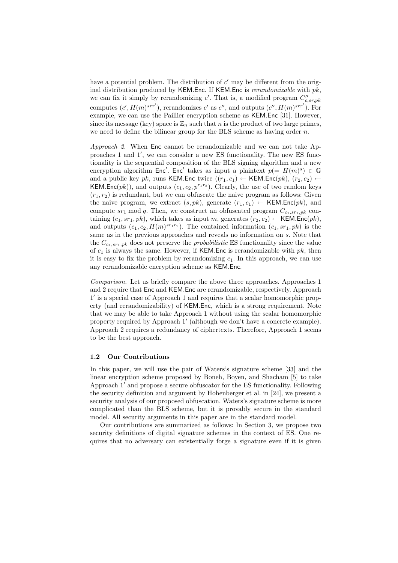have a potential problem. The distribution of  $c'$  may be different from the original distribution produced by KEM.Enc. If KEM.Enc is rerandomizable with  $pk$ , we can fix it simply by rerandomizing  $c'$ . That is, a modified program  $C''_{c,sr,pk}$ computes  $(c', H(m)^{srr'})$ , rerandomizes c' as c'', and outputs  $(c'', H(m)^{srr'})$ . For example, we can use the Paillier encryption scheme as KEM.Enc [31]. However, since its message (key) space is  $\mathbb{Z}_n$  such that n is the product of two large primes, we need to define the bilinear group for the BLS scheme as having order  $n$ .

Approach 2. When Enc cannot be rerandomizable and we can not take Approaches 1 and 1', we can consider a new ES functionality. The new ES functionality is the sequential composition of the BLS signing algorithm and a new encryption algorithm  $Enc'$ . Enc' takes as input a plaintext  $p(=H(m)^s) \in \mathbb{G}$ and a public key pk, runs KEM.Enc twice  $((r_1, c_1) \leftarrow$  KEM.Enc $(pk), (r_2, c_2) \leftarrow$ KEM.Enc(pk)), and outputs  $(c_1, c_2, p^{r_1 r_2})$ . Clearly, the use of two random keys  $(r_1, r_2)$  is redundant, but we can obfuscate the naive program as follows: Given the naive program, we extract  $(s, pk)$ , generate  $(r_1, c_1) \leftarrow \text{KEM}$ . Enc $(pk)$ , and compute  $sr_1 \text{ mod } q$ . Then, we construct an obfuscated program  $C_{c_1,sr_1,pk}$  containing  $(c_1, sr_1, pk)$ , which takes as input m, generates  $(r_2, c_2) \leftarrow \text{KEM}$ . Enc $(pk)$ , and outputs  $(c_1, c_2, H(m)^{sr_1r_2})$ . The contained information  $(c_1, sr_1, pk)$  is the same as in the previous approaches and reveals no information on s. Note that the  $C_{c_1,sr_1,pk}$  does not preserve the *probabilistic* ES functionality since the value of  $c_1$  is always the same. However, if KEM.Enc is rerandomizable with  $pk$ , then it is easy to fix the problem by rerandomizing  $c_1$ . In this approach, we can use any rerandomizable encryption scheme as KEM.Enc.

Comparison. Let us briefly compare the above three approaches. Approaches 1 and 2 require that Enc and KEM.Enc are rerandomizable, respectively. Approach 1' is a special case of Approach 1 and requires that a scalar homomorphic property (and rerandomizability) of KEM.Enc, which is a strong requirement. Note that we may be able to take Approach 1 without using the scalar homomorphic property required by Approach 1' (although we don't have a concrete example). Approach 2 requires a redundancy of ciphertexts. Therefore, Approach 1 seems to be the best approach.

#### 1.2 Our Contributions

In this paper, we will use the pair of Waters's signature scheme [33] and the linear encryption scheme proposed by Boneh, Boyen, and Shacham [5] to take Approach  $1'$  and propose a secure obfuscator for the ES functionality. Following the security definition and argument by Hohenberger et al. in [24], we present a security analysis of our proposed obfuscation. Waters's signature scheme is more complicated than the BLS scheme, but it is provably secure in the standard model. All security arguments in this paper are in the standard model.

Our contributions are summarized as follows: In Section 3, we propose two security definitions of digital signature schemes in the context of ES. One requires that no adversary can existentially forge a signature even if it is given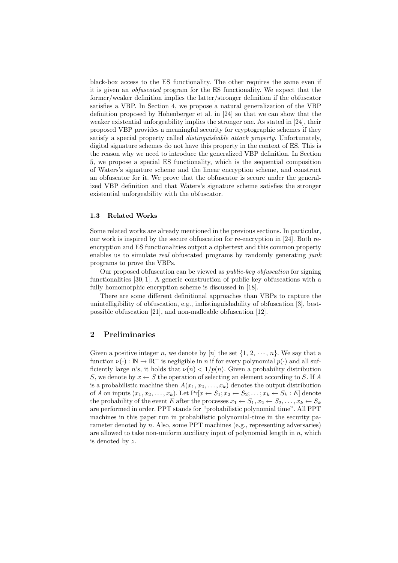black-box access to the ES functionality. The other requires the same even if it is given an obfuscated program for the ES functionality. We expect that the former/weaker definition implies the latter/stronger definition if the obfuscator satisfies a VBP. In Section 4, we propose a natural generalization of the VBP definition proposed by Hohenberger et al. in [24] so that we can show that the weaker existential unforgeability implies the stronger one. As stated in [24], their proposed VBP provides a meaningful security for cryptographic schemes if they satisfy a special property called distinguishable attack property. Unfortunately, digital signature schemes do not have this property in the context of ES. This is the reason why we need to introduce the generalized VBP definition. In Section 5, we propose a special ES functionality, which is the sequential composition of Waters's signature scheme and the linear encryption scheme, and construct an obfuscator for it. We prove that the obfuscator is secure under the generalized VBP definition and that Waters's signature scheme satisfies the stronger existential unforgeability with the obfuscator.

### 1.3 Related Works

Some related works are already mentioned in the previous sections. In particular, our work is inspired by the secure obfuscation for re-encryption in [24]. Both reencryption and ES functionalities output a ciphertext and this common property enables us to simulate real obfuscated programs by randomly generating  $junk$ programs to prove the VBPs.

Our proposed obfuscation can be viewed as public-key obfuscation for signing functionalities [30, 1]. A generic construction of public key obfuscations with a fully homomorphic encryption scheme is discussed in [18].

There are some different definitional approaches than VBPs to capture the unintelligibility of obfuscation, e.g., indistinguishability of obfuscation [3], bestpossible obfuscation [21], and non-malleable obfuscation [12].

# 2 Preliminaries

Given a positive integer n, we denote by [n] the set  $\{1, 2, \dots, n\}$ . We say that a function  $\nu(\cdot): \mathbb{N} \to \mathbb{R}^+$  is negligible in *n* if for every polynomial  $p(\cdot)$  and all sufficiently large n's, it holds that  $\nu(n) < 1/p(n)$ . Given a probability distribution S, we denote by  $x \leftarrow S$  the operation of selecting an element according to S. If A is a probabilistic machine then  $A(x_1, x_2, \ldots, x_k)$  denotes the output distribution of A on inputs  $(x_1, x_2, \ldots, x_k)$ . Let  $Pr[x \leftarrow S_1; x_2 \leftarrow S_2; \ldots; x_k \leftarrow S_k : E]$  denote the probability of the event E after the processes  $x_1 \leftarrow S_1, x_2 \leftarrow S_2, \ldots, x_k \leftarrow S_k$ are performed in order. PPT stands for "probabilistic polynomial time". All PPT machines in this paper run in probabilistic polynomial-time in the security parameter denoted by *n*. Also, some PPT machines (e.g., representing adversaries) are allowed to take non-uniform auxiliary input of polynomial length in  $n$ , which is denoted by z.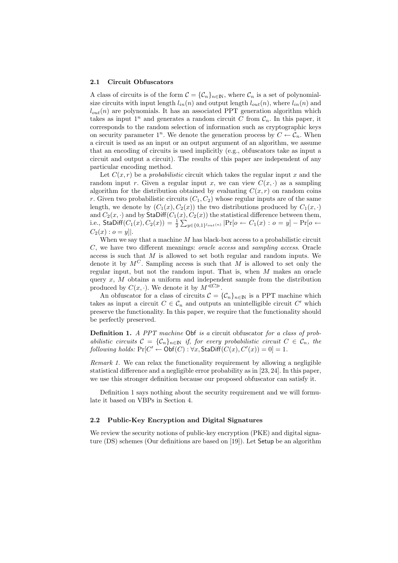#### 2.1 Circuit Obfuscators

A class of circuits is of the form  $\mathcal{C} = {\mathcal{C}_n}_{n \in \mathbb{N}}$ , where  $\mathcal{C}_n$  is a set of polynomialsize circuits with input length  $l_{in}(n)$  and output length  $l_{out}(n)$ , where  $l_{in}(n)$  and  $l_{out}(n)$  are polynomials. It has an associated PPT generation algorithm which takes as input  $1^n$  and generates a random circuit C from  $\mathcal{C}_n$ . In this paper, it corresponds to the random selection of information such as cryptographic keys on security parameter  $1^n$ . We denote the generation process by  $C \leftarrow \mathcal{C}_n$ . When a circuit is used as an input or an output argument of an algorithm, we assume that an encoding of circuits is used implicitly (e.g., obfuscators take as input a circuit and output a circuit). The results of this paper are independent of any particular encoding method.

Let  $C(x, r)$  be a probabilistic circuit which takes the regular input x and the random input r. Given a regular input x, we can view  $C(x, \cdot)$  as a sampling algorithm for the distribution obtained by evaluating  $C(x, r)$  on random coins r. Given two probabilistic circuits  $(C_1, C_2)$  whose regular inputs are of the same length, we denote by  $(C_1(x), C_2(x))$  the two distributions produced by  $C_1(x, \cdot)$ and  $C_2(x, \cdot)$  and by  $\mathsf{StaDiff}(C_1(x), C_2(x))$  the statistical difference between them, i.e.,  $\mathsf{StaDiff}(C_1(x),C_2(x)) = \frac{1}{2}\sum_{y\in\{0,1\}^{l_{out}(n)}} |\mathrm{Pr}[o\leftarrow C_1(x):o=y] - \mathrm{Pr}[o\leftarrow$  $C_2(x) : o = y$ ].

When we say that a machine  $M$  has black-box access to a probabilistic circuit C, we have two different meanings: oracle access and sampling access. Oracle access is such that  $M$  is allowed to set both regular and random inputs. We denote it by  $M^C$ . Sampling access is such that M is allowed to set only the regular input, but not the random input. That is, when M makes an oracle query x,  $M$  obtains a uniform and independent sample from the distribution produced by  $C(x, \cdot)$ . We denote it by  $M^{\ll \mathbb{C}\gg}$ .

An obfuscator for a class of circuits  $\mathcal{C} = {\mathcal{C}_n}_{n \in \mathbb{N}}$  is a PPT machine which takes as input a circuit  $C \in \mathcal{C}_n$  and outputs an unintelligible circuit  $C'$  which preserve the functionality. In this paper, we require that the functionality should be perfectly preserved.

Definition 1. A PPT machine Obf is a circuit obfuscator for a class of probabilistic circuits  $C = \{C_n\}_{n \in \mathbb{N}}$  if, for every probabilistic circuit  $C \in \mathcal{C}_n$ , the  $following holds: Pr[C' \leftarrow \mathsf{Obf}(C):\forall x, \mathsf{StaDiff}(C(x), C'(x)) = 0] = 1.$ 

Remark 1. We can relax the functionality requirement by allowing a negligible statistical difference and a negligible error probability as in [23, 24]. In this paper, we use this stronger definition because our proposed obfuscator can satisfy it.

Definition 1 says nothing about the security requirement and we will formulate it based on VBPs in Section 4.

#### 2.2 Public-Key Encryption and Digital Signatures

We review the security notions of public-key encryption (PKE) and digital signature (DS) schemes (Our definitions are based on [19]). Let Setup be an algorithm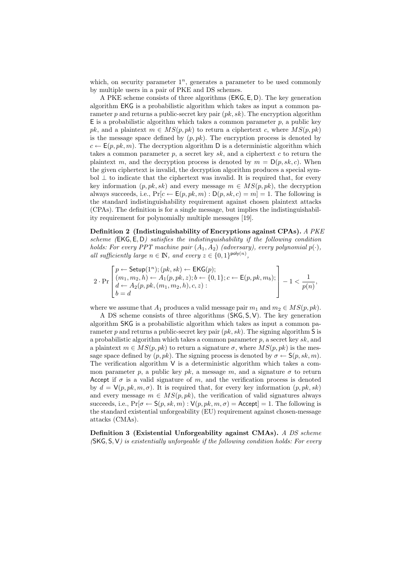which, on security parameter  $1^n$ , generates a parameter to be used commonly by multiple users in a pair of PKE and DS schemes.

A PKE scheme consists of three algorithms (EKG, E, D). The key generation algorithm EKG is a probabilistic algorithm which takes as input a common parameter p and returns a public-secret key pair  $(pk, sk)$ . The encryption algorithm  $E$  is a probabilistic algorithm which takes a common parameter p, a public key pk, and a plaintext  $m \in MS(p, pk)$  to return a ciphertext c, where  $MS(p, pk)$ is the message space defined by  $(p, pk)$ . The encryption process is denoted by  $c \leftarrow E(p, pk, m)$ . The decryption algorithm D is a deterministic algorithm which takes a common parameter  $p$ , a secret key sk, and a ciphertext c to return the plaintext m, and the decryption process is denoted by  $m = D(p, sk, c)$ . When the given ciphertext is invalid, the decryption algorithm produces a special symbol  $\perp$  to indicate that the ciphertext was invalid. It is required that, for every key information  $(p, pk, sk)$  and every message  $m \in MS(p, pk)$ , the decryption always succeeds, i.e.,  $Pr[c \leftarrow E(p, pk, m) : D(p, sk, c) = m] = 1$ . The following is the standard indistinguishability requirement against chosen plaintext attacks (CPAs). The definition is for a single message, but implies the indistinguishability requirement for polynomially multiple messages [19].

Definition 2 (Indistinguishability of Encryptions against CPAs). A PKE scheme (EKG, E, D) satisfies the indistinguishability if the following condition holds: For every PPT machine pair  $(A_1, A_2)$  (adversary), every polynomial  $p(\cdot)$ . all sufficiently large  $n \in \mathbb{N}$ , and every  $z \in \{0, 1\}^{\text{poly}(n)}$ ,

$$
2 \cdot \Pr\left[\begin{matrix} p \leftarrow \textsf{Setup}(1^n); (pk, sk) \leftarrow \textsf{EKG}(p); \\ (m_1, m_2, h) \leftarrow A_1(p, pk, z); b \leftarrow \{0, 1\}; c \leftarrow \textsf{E}(p, pk, m_b); \\ d \leftarrow A_2(p, pk, (m_1, m_2, h), c, z): \\ b = d \end{matrix}\right] - 1 < \frac{1}{p(n)},
$$

where we assume that  $A_1$  produces a valid message pair  $m_1$  and  $m_2 \in MS(p, pk)$ .

A DS scheme consists of three algorithms (SKG, S, V). The key generation algorithm SKG is a probabilistic algorithm which takes as input a common parameter p and returns a public-secret key pair  $(pk, sk)$ . The signing algorithm S is a probabilistic algorithm which takes a common parameter  $p$ , a secret key  $sk$ , and a plaintext  $m \in MS(p, pk)$  to return a signature  $\sigma$ , where  $MS(p, pk)$  is the message space defined by  $(p, pk)$ . The signing process is denoted by  $\sigma \leftarrow S(p, sk, m)$ . The verification algorithm  $V$  is a deterministic algorithm which takes a common parameter p, a public key pk, a message m, and a signature  $\sigma$  to return Accept if  $\sigma$  is a valid signature of m, and the verification process is denoted by  $d = V(p, pk, m, \sigma)$ . It is required that, for every key information  $(p, pk, sk)$ and every message  $m \in MS(p, pk)$ , the verification of valid signatures always succeeds, i.e.,  $Pr[\sigma \leftarrow S(p, sk, m): V(p, pk, m, \sigma) =$  Accept] = 1. The following is the standard existential unforgeability (EU) requirement against chosen-message attacks (CMAs).

Definition 3 (Existential Unforgeability against CMAs). A DS scheme  $(SKG, S, V)$  is existentially unforgeable if the following condition holds: For every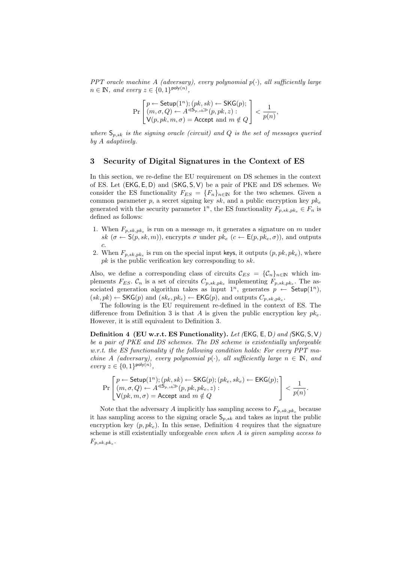PPT oracle machine A (adversary), every polynomial  $p(\cdot)$ , all sufficiently large  $n \in \mathbb{N}$ , and every  $z \in \{0,1\}^{\text{poly}(n)}$ ,

$$
\Pr\begin{bmatrix} p \leftarrow \mathsf{Setup}(1^n); (pk, sk) \leftarrow \mathsf{SKG}(p); \\ (m, \sigma, Q) \leftarrow A^{\ll 5_{p, sk}}(p, pk, z): \\ \mathsf{V}(p, pk, m, \sigma) = \mathsf{Accept} \text{ and } m \notin Q \end{bmatrix} < \frac{1}{p(n)},
$$

where  $S_{p,sk}$  is the signing oracle (circuit) and Q is the set of messages queried by A adaptively.

### 3 Security of Digital Signatures in the Context of ES

In this section, we re-define the EU requirement on DS schemes in the context of ES. Let (EKG, E, D) and (SKG, S, V) be a pair of PKE and DS schemes. We consider the ES functionality  $F_{ES} = \{F_n\}_{n \in \mathbb{N}}$  for the two schemes. Given a common parameter p, a secret signing key  $sk$ , and a public encryption key  $pk_e$ generated with the security parameter  $1^n$ , the ES functionality  $F_{p,sk,pk_e} \in F_n$  is defined as follows:

- 1. When  $F_{p,sk,pk_e}$  is run on a message m, it generates a signature on m under sk  $(\sigma \leftarrow \mathsf{S}(p, sk, m))$ , encrypts  $\sigma$  under  $pk_e$   $(c \leftarrow \mathsf{E}(p, pk_e, \sigma))$ , and outputs c.
- 2. When  $F_{p,sk,pk_e}$  is run on the special input keys, it outputs  $(p, pk, pk_e)$ , where  $pk$  is the public verification key corresponding to  $sk$ .

Also, we define a corresponding class of circuits  $\mathcal{C}_{ES} = {\mathcal{C}_n}_{n \in \mathbb{N}}$  which implements  $F_{ES}$ .  $\mathcal{C}_n$  is a set of circuits  $C_{p,sk,pk_e}$  implementing  $F_{p,sk,pk_e}$ . The associated generation algorithm takes as input  $1^n$ , generates  $p \leftarrow$  Setup $(1^n)$ ,  $(sk, pk) \leftarrow \mathsf{SKG}(p)$  and  $(sk_e, pk_e) \leftarrow \mathsf{EKG}(p)$ , and outputs  $C_{p, sk, pk_e}$ .

The following is the EU requirement re-defined in the context of ES. The difference from Definition 3 is that A is given the public encryption key  $pk_e$ . However, it is still equivalent to Definition 3.

Definition 4 (EU w.r.t. ES Functionality). Let (EKG, E, D) and (SKG, S, V) be a pair of PKE and DS schemes. The DS scheme is existentially unforgeable w.r.t. the ES functionality if the following condition holds: For every PPT machine A (adversary), every polynomial  $p(\cdot)$ , all sufficiently large  $n \in \mathbb{N}$ , and  $every z \in \{0,1\}^{\text{poly}(n)},$ 

$$
\Pr\begin{bmatrix} p \leftarrow \mathsf{Setup}(1^n); (pk, sk) \leftarrow \mathsf{SKG}(p); (pk_e, sk_e) \leftarrow \mathsf{EKG}(p); \\ (m, \sigma, Q) \leftarrow A^{\ll 5_{p, sk}}(p, pk, pk_e, z): \\ \mathsf{V}(pk, m, \sigma) = \mathsf{Accept} \text{ and } m \notin Q \end{bmatrix} < \mathsf{EKG}(p)
$$

Note that the adversary A implicitly has sampling access to  $F_{p,sk,pk_e}$  because it has sampling access to the signing oracle  $S_{p,sk}$  and takes as input the public encryption key  $(p, pk_e)$ . In this sense, Definition 4 requires that the signature scheme is still existentially unforgeable *even when*  $\vec{A}$  is given sampling access to  $F_{p,sk,pk_e}$ .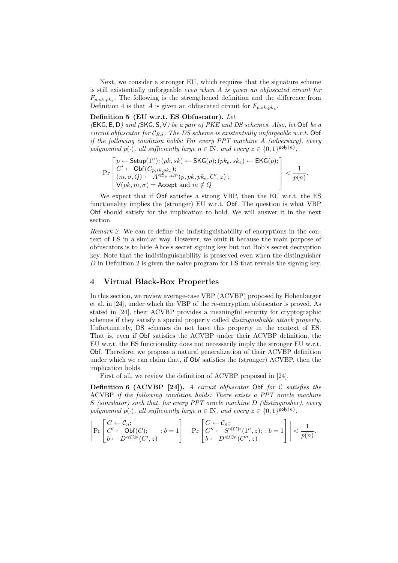Next, we consider a stronger EU, which requires that the signature scheme is still existentially unforgeable *even when*  $A$  is given an obfuscated circuit for  $F_{p,sk,pk_e}$ . The following is the strengthened definition and the difference from Definition 4 is that A is given an obfuscated circuit for  $F_{p,sk,pk_e}$ .

#### Definition 5 (EU w.r.t. ES Obfuscator). Let

 $(EKG, E, D)$  and  $(SKG, S, V)$  be a pair of PKE and DS schemes. Also, let Obf be a circuit obfuscator for  $\mathcal{C}_{ES}$ . The DS scheme is existentially unforgeable w.r.t. Obf if the following condition holds: For every PPT machine A (adversary), every polynomial  $p(\cdot)$ , all sufficiently large  $n \in \mathbb{N}$ , and every  $z \in \{0,1\}^{\text{poly}(n)}$ ,

$$
\Pr\left[\begin{matrix}p \leftarrow \mathsf{Setup}(1^n); (pk, sk) \leftarrow \mathsf{SKG}(p); (pk_e, sk_e) \leftarrow \mathsf{EKG}(p);\\ C' \leftarrow \mathsf{Obf}(C_{p, sk, pk_e});\\ (m, \sigma, Q) \leftarrow A^{\ll p, sk} \geqslant (p, pk, pk_e, C', z):\\ \mathsf{V}(pk, m, \sigma) = \mathsf{Accept} \text{ and } m \notin Q\end{matrix}\right\} < \frac{1}{p(n)}.
$$

We expect that if Obf satisfies a strong VBP, then the EU w.r.t. the ES functionality implies the (stronger) EU w.r.t. Obf. The question is what VBP Obf should satisfy for the implication to hold. We will answer it in the next section.

Remark 2. We can re-define the indistinguishability of encryptions in the context of ES in a similar way. However, we omit it because the main purpose of obfuscators is to hide Alice's secret signing key but not Bob's secret decryption key. Note that the indistinguishability is preserved even when the distinguisher D in Definition 2 is given the naive program for ES that reveals the signing key.

### 4 Virtual Black-Box Properties

In this section, we review average-case VBP (ACVBP) proposed by Hohenberger et al. in [24], under which the VBP of the re-encryption obfuscator is proved. As stated in [24], their ACVBP provides a meaningful security for cryptographic schemes if they satisfy a special property called *distinguishable attack property*. Unfortunately, DS schemes do not have this property in the context of ES. That is, even if Obf satisfies the ACVBP under their ACVBP definition, the EU w.r.t. the ES functionality does not necessarily imply the stronger EU w.r.t. Obf. Therefore, we propose a natural generalization of their ACVBP definition under which we can claim that, if Obf satisfies the (stronger) ACVBP, then the implication holds.

First of all, we review the definition of ACVBP proposed in [24].

**Definition 6 (ACVBP [24]).** A circuit obfuscator Obf for  $C$  satisfies the ACVBP if the following condition holds: There exists a PPT oracle machine S (simulator) such that, for every PPT oracle machine D (distinguisher), every polynomial  $p(\cdot)$ , all sufficiently large  $n \in \mathbb{N}$ , and every  $z \in \{0,1\}^{\text{poly}(n)}$ ,

$$
\left|\Pr\begin{bmatrix} C\leftarrow \mathcal{C}_n; \\ C'\leftarrow \text{Obf}(C); \\ b\leftarrow D^{\ll C\gg}(C',z) \end{bmatrix}: b=1\right]-\Pr\begin{bmatrix} C\leftarrow \mathcal{C}_n; \\ C''\leftarrow S^{\ll C\gg}(1^n,z); \: : b=1\\ b\leftarrow D^{\ll C\gg}(C'',z) \end{bmatrix}\right|\right|<\frac{1}{p(n)}.
$$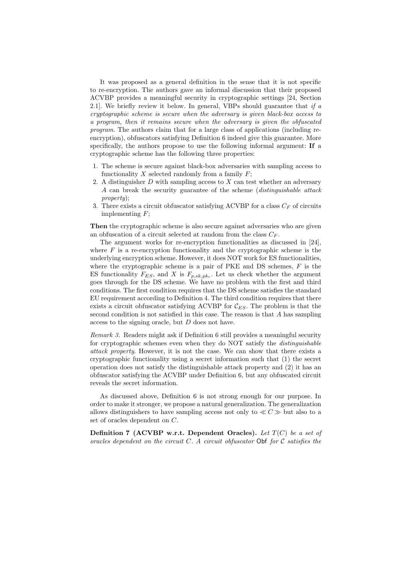It was proposed as a general definition in the sense that it is not specific to re-encryption. The authors gave an informal discussion that their proposed ACVBP provides a meaningful security in cryptographic settings [24, Section 2.1]. We briefly review it below. In general, VBPs should guarantee that if  $a$ cryptographic scheme is secure when the adversary is given black-box access to a program, then it remains secure when the adversary is given the obfuscated program. The authors claim that for a large class of applications (including reencryption), obfuscators satisfying Definition 6 indeed give this guarantee. More specifically, the authors propose to use the following informal argument: If a cryptographic scheme has the following three properties:

- 1. The scheme is secure against black-box adversaries with sampling access to functionality  $X$  selected randomly from a family  $F$ ;
- 2. A distinguisher  $D$  with sampling access to  $X$  can test whether an adversary A can break the security guarantee of the scheme (distinguishable attack property);
- 3. There exists a circuit obfuscator satisfying ACVBP for a class  $C_F$  of circuits implementing  $F$ ;

Then the cryptographic scheme is also secure against adversaries who are given an obfuscation of a circuit selected at random from the class  $C_F$ .

The argument works for re-encryption functionalities as discussed in [24], where  $F$  is a re-encryption functionality and the cryptographic scheme is the underlying encryption scheme. However, it does NOT work for ES functionalities, where the cryptographic scheme is a pair of PKE and DS schemes,  $F$  is the ES functionality  $F_{ES}$ , and X is  $F_{p,sk,pk_e}$ . Let us check whether the argument goes through for the DS scheme. We have no problem with the first and third conditions. The first condition requires that the DS scheme satisfies the standard EU requirement according to Definition 4. The third condition requires that there exists a circuit obfuscator satisfying ACVBP for  $\mathcal{C}_{ES}$ . The problem is that the second condition is not satisfied in this case. The reason is that A has sampling access to the signing oracle, but D does not have.

Remark 3. Readers might ask if Definition 6 still provides a meaningful security for cryptographic schemes even when they do NOT satisfy the distinguishable attack property. However, it is not the case. We can show that there exists a cryptographic functionality using a secret information such that (1) the secret operation does not satisfy the distinguishable attack property and (2) it has an obfuscator satisfying the ACVBP under Definition 6, but any obfuscated circuit reveals the secret information.

As discussed above, Definition 6 is not strong enough for our purpose. In order to make it stronger, we propose a natural generalization. The generalization allows distinguishers to have sampling access not only to  $\ll C \gg$  but also to a set of oracles dependent on C.

Definition 7 (ACVBP w.r.t. Dependent Oracles). Let  $T(C)$  be a set of oracles dependent on the circuit  $C$ . A circuit obfuscator Obf for  $C$  satisfies the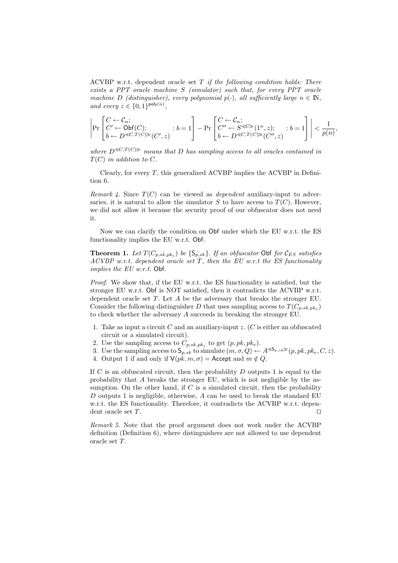ACVBP w.r.t. dependent oracle set  $T$  if the following condition holds: There exists a PPT oracle machine S (simulator) such that, for every PPT oracle machine D (distinguisher), every polynomial  $p(\cdot)$ , all sufficiently large  $n \in \mathbb{N}$ , and every  $z \in \{0,1\}^{\text{poly}(n)}$ ,

$$
\left|\Pr\begin{bmatrix} C\leftarrow \mathcal{C}_n; \\ C'\leftarrow \text{Obf}(C); \\ b\leftarrow D^{\ll C,T(C)\gg}(C',z) \end{bmatrix}:b=1\right]-\Pr\begin{bmatrix} C\leftarrow \mathcal{C}_n; \\ C''\leftarrow S^{\ll C\gg}(1^n,z); \\ b\leftarrow D^{\ll C,T(C)\gg}(C'',z) \end{bmatrix}:b=1\right]\right|\leq \frac{1}{p(n)},
$$

where  $D^{\ll C, T(C)}$  means that D has sampling access to all oracles contained in  $T(C)$  in addition to C.

Clearly, for every  $T$ , this generalized ACVBP implies the ACVBP in Definition 6.

Remark 4. Since  $T(C)$  can be viewed as *dependent* auxiliary-input to adversaries, it is natural to allow the simulator S to have access to  $T(C)$ . However, we did not allow it because the security proof of our obfuscator does not need it.

Now we can clarify the condition on Obf under which the EU w.r.t. the ES functionality implies the EU w.r.t. Obf.

**Theorem 1.** Let  $T(C_{p,sk,pk_e})$  be  $\{S_{p,sk}\}$ . If an obfuscator Obf for  $\mathcal{C}_{ES}$  satisfies ACVBP w.r.t. dependent oracle set  $T$ , then the EU w.r.t the ES functionality implies the EU w.r.t. Obf.

Proof. We show that, if the EU w.r.t. the ES functionality is satisfied, but the stronger EU w.r.t. Obf is NOT satisfied, then it contradicts the ACVBP w.r.t. dependent oracle set T. Let A be the adversary that breaks the stronger EU. Consider the following distinguisher D that uses sampling access to  $T(C_{p,sk,pk_e})$ to check whether the adversary A succeeds in breaking the stronger EU.

- 1. Take as input a circuit C and an auxiliary-input z. (C is either an obfuscated circuit or a simulated circuit).
- 2. Use the sampling access to  $C_{p,sk,pk_e}$  to get  $(p,pk,pk_e)$ .
- 3. Use the sampling access to  $\mathsf{S}_{p,sk}$  to simulate  $(m, \sigma, Q) \leftarrow A^{\lll \mathsf{S}_{p, sk}}(p, pk, pk, C, z)$ .
- 4. Output 1 if and only if  $V(pk, m, \sigma) =$  Accept and  $m \notin Q$ .

If  $C$  is an obfuscated circuit, then the probability  $D$  outputs 1 is equal to the probability that  $A$  breaks the stronger EU, which is not negligible by the assumption. On the other hand, if  $C$  is a simulated circuit, then the probability D outputs 1 is negligible, otherwise,  $A$  can be used to break the standard EU w.r.t. the ES functionality. Therefore, it contradicts the ACVBP w.r.t. dependent oracle set  $T$ .

Remark 5. Note that the proof argument does not work under the ACVBP definition (Definition 6), where distinguishers are not allowed to use dependent oracle set T.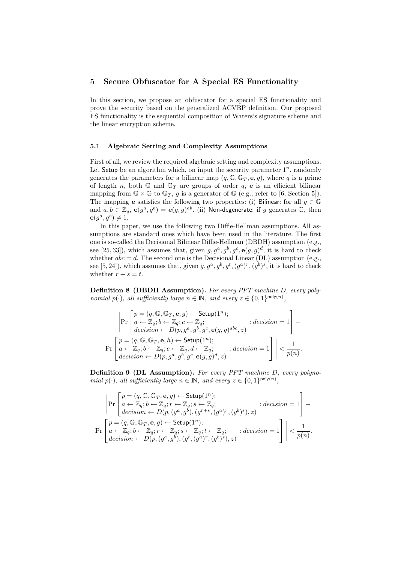### 5 Secure Obfuscator for A Special ES Functionality

In this section, we propose an obfuscator for a special ES functionality and prove the security based on the generalized ACVBP definition. Our proposed ES functionality is the sequential composition of Waters's signature scheme and the linear encryption scheme.

#### 5.1 Algebraic Setting and Complexity Assumptions

First of all, we review the required algebraic setting and complexity assumptions. Let Setup be an algorithm which, on input the security parameter  $1^n$ , randomly generates the parameters for a bilinear map  $(q, \mathbb{G}, \mathbb{G}_T, e, g)$ , where q is a prime of length n, both  $\mathbb{G}$  and  $\mathbb{G}_T$  are groups of order q, e is an efficient bilinear mapping from  $\mathbb{G} \times \mathbb{G}$  to  $\mathbb{G}_T$ , g is a generator of  $\mathbb{G}$  (e.g., refer to [6, Section 5]). The mapping **e** satisfies the following two properties: (i) Bilinear: for all  $g \in \mathbb{G}$ and  $a, b \in \mathbb{Z}_q$ ,  $e(g^a, g^b) = e(g, g)^{ab}$ . (ii) Non-degenerate: if g generates G, then  $e(g^a, g^b) \neq 1.$ 

In this paper, we use the following two Diffie-Hellman assumptions. All assumptions are standard ones which have been used in the literature. The first one is so-called the Decisional Bilinear Diffie-Hellman (DBDH) assumption (e.g., see [25, 33]), which assumes that, given  $g, g^a, g^b, g^c, e(g, g)^d$ , it is hard to check whether  $abc = d$ . The second one is the Decisional Linear (DL) assumption (e.g., see [5, 24]), which assumes that, given  $g, g^a, g^b, g^t, (g^a)^r, (g^b)^s$ , it is hard to check whether  $r + s = t$ .

Definition 8 (DBDH Assumption). For every PPT machine D, every polynomial  $p(\cdot)$ , all sufficiently large  $n \in \mathbb{N}$ , and every  $z \in \{0,1\}^{\text{poly}(n)}$ ,

$$
\left|\Pr\begin{bmatrix}p=(q,\mathbb{G},\mathbb{G}_T,\mathbf{e},g)\leftarrow\text{Setup}(1^n);\\ a\leftarrow \mathbb{Z}_q;b\leftarrow \mathbb{Z}_q;c\leftarrow \mathbb{Z}_q;\\ decision\leftarrow D(p,g^a,g^b,g^c,\mathbf{e}(g,g)^{abc},z)\end{bmatrix}: decision=1\right]-\right.
$$

$$
\Pr\begin{bmatrix}p=(q,\mathbb{G},\mathbb{G}_T,\mathbf{e},h)\leftarrow\text{Setup}(1^n);\\ a\leftarrow \mathbb{Z}_q;b\leftarrow \mathbb{Z}_q;c\leftarrow \mathbb{Z}_q;d\leftarrow \mathbb{Z}_q;\\ decision\leftarrow D(p,g^a,g^b,g^c,\mathbf{e}(g,g)^d,z)\end{bmatrix}\right|\right|<\frac{1}{p(n)}.
$$

Definition 9 (DL Assumption). For every PPT machine D, every polynomial  $p(\cdot)$ , all sufficiently large  $n \in \mathbb{N}$ , and every  $z \in \{0,1\}^{\text{poly}(n)}$ ,

$$
\left|\Pr\left[\begin{matrix}p=(q,\mathbb{G},\mathbb{G}_T,\mathbf{e},g)\leftarrow\text{Setup}(1^n);\\a\leftarrow\mathbb{Z}_q;b\leftarrow\mathbb{Z}_q;r\leftarrow\mathbb{Z}_q;s\leftarrow\mathbb{Z}_q;\\\text{decision}\leftarrow D(p,(g^a,g^b),(g^{r+s},(g^a)^r,(g^b)^s),z)\end{matrix}\right.\right.\right.\right.\right.\nonumber\\ \left.\Pr\left[\begin{matrix}p=(q,\mathbb{G},\mathbb{G}_T,\mathbf{e},g)\leftarrow\text{Setup}(1^n);\\a\leftarrow\mathbb{Z}_q;b\leftarrow\mathbb{Z}_q;r\leftarrow\mathbb{Z}_q;s\leftarrow\mathbb{Z}_q;t\leftarrow\mathbb{Z}_q;\\\text{decision}\leftarrow D(p,(g^a,g^b),(g^t,(g^a)^r,(g^b)^s),z)\end{matrix}\right.\right.\right.\right.\left.\left.\left.\left.\begin{matrix}1\\ \leftarrow\end{matrix}\right|\right.\right.\right.
$$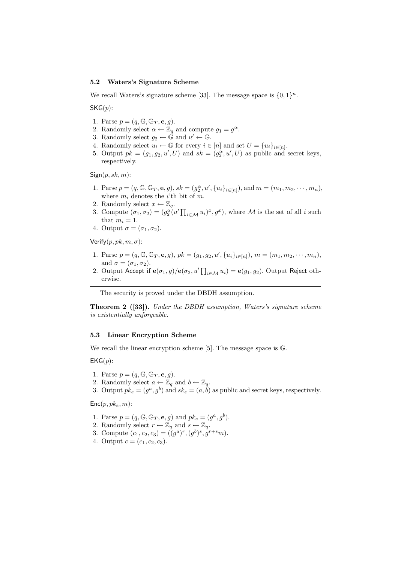#### 5.2 Waters's Signature Scheme

We recall Waters's signature scheme [33]. The message space is  $\{0, 1\}^n$ .

 $SKG(p)$ :

- 1. Parse  $p = (q, \mathbb{G}, \mathbb{G}_T, \mathbf{e}, q)$ .
- 2. Randomly select  $\alpha \leftarrow \mathbb{Z}_q$  and compute  $g_1 = g^{\alpha}$ .
- 3. Randomly select  $g_2 \leftarrow \mathbb{G}$  and  $u' \leftarrow \mathbb{G}$ .
- 4. Randomly select  $u_i \leftarrow \mathbb{G}$  for every  $i \in [n]$  and set  $U = \{u_i\}_{i \in [n]}$ .
- 5. Output  $pk = (g_1, g_2, u', U)$  and  $sk = (g_2^{\alpha}, u', U)$  as public and secret keys, respectively.

 $Sign(p, sk, m)$ :

- 1. Parse  $p = (q, \mathbb{G}, \mathbb{G}_T, \mathbf{e}, g), sk = (g_2^{\alpha}, u', \{u_i\}_{i \in [n]})$ , and  $m = (m_1, m_2, \cdots, m_n)$ , where  $m_i$  denotes the *i*'th bit of m.
- 2. Randomly select  $x \leftarrow \mathbb{Z}_q$ .
- 3. Compute  $(\sigma_1, \sigma_2) = (g_2^{\alpha}(u' \prod_{i \in \mathcal{M}} u_i)^x, g^x)$ , where M is the set of all i such that  $m_i = 1$ .
- 4. Output  $\sigma = (\sigma_1, \sigma_2)$ .

Verify $(p, pk, m, \sigma)$ :

- 1. Parse  $p = (q, \mathbb{G}, \mathbb{G}_T, \mathbf{e}, g), \, pk = (g_1, g_2, u', \{u_i\}_{i \in [n]})$ ,  $m = (m_1, m_2, \cdots, m_n)$ , and  $\sigma = (\sigma_1, \sigma_2)$ .
- 2. Output Accept if  $e(\sigma_1, g)/e(\sigma_2, u'\prod_{i\in\mathcal{M}} u_i) = e(g_1, g_2)$ . Output Reject otherwise.

The security is proved under the DBDH assumption.

Theorem 2 ([33]). Under the DBDH assumption, Waters's signature scheme is existentially unforgeable.

#### 5.3 Linear Encryption Scheme

We recall the linear encryption scheme [5]. The message space is G.

 $EKG(p)$ :

- 1. Parse  $p = (q, \mathbb{G}, \mathbb{G}_T, \mathbf{e}, g)$ .
- 2. Randomly select  $a \leftarrow \mathbb{Z}_q$  and  $b \leftarrow \mathbb{Z}_q$ .
- 3. Output  $pk_e = (g^a, g^b)$  and  $sk_e = (a, b)$  as public and secret keys, respectively.

 $Enc(p, pk_e, m)$ :

- 1. Parse  $p = (q, \mathbb{G}, \mathbb{G}_T, \mathbf{e}, g)$  and  $pk_e = (g^a, g^b)$ .
- 2. Randomly select  $r \leftarrow \mathbb{Z}_q$  and  $s \leftarrow \mathbb{Z}_q$ .
- 3. Compute  $(c_1, c_2, c_3) = ((g^a)^r, (g^b)^s, g^{r+s}m)$ .
- 4. Output  $c = (c_1, c_2, c_3)$ .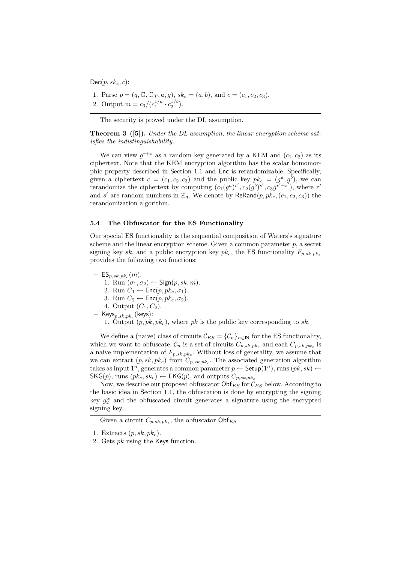$Dec(p, sk_e, c)$ :

- 1. Parse  $p = (q, \mathbb{G}, \mathbb{G}_T, \mathbf{e}, g), \, sk_e = (a, b), \text{ and } c = (c_1, c_2, c_3).$
- 2. Output  $m = c_3/(c_1^{1/a} \cdot c_2^{1/b}).$

The security is proved under the DL assumption.

**Theorem 3** ([5]). Under the DL assumption, the linear encryption scheme satisfies the indistinguishability.

We can view  $g^{r+s}$  as a random key generated by a KEM and  $(c_1, c_2)$  as its ciphertext. Note that the KEM encryption algorithm has the scalar homomorphic property described in Section 1.1 and Enc is rerandomizable. Specifically, given a ciphertext  $c = (c_1, c_2, c_3)$  and the public key  $pk_e = (g^a, g^b)$ , we can rerandomize the ciphertext by computing  $(c_1(g^a)^{r'}, c_2(g^b)^{s'}, c_3g^{r'+s'})$ , where r' and s' are random numbers in  $\mathbb{Z}_q$ . We denote by  $\mathsf{ReRand}(p, pk_e, (c_1, c_2, c_3))$  the rerandomization algorithm.

#### 5.4 The Obfuscator for the ES Functionality

Our special ES functionality is the sequential composition of Waters's signature scheme and the linear encryption scheme. Given a common parameter  $p$ , a secret signing key sk, and a public encryption key  $pk_e$ , the ES functionality  $F_{p,sk,pk_e}$ provides the following two functions:

 $-$  ES $_{p,sk,pk_e}(m)$ : 1. Run  $(\sigma_1, \sigma_2) \leftarrow$  Sign $(p, sk, m)$ . 2. Run  $C_1 \leftarrow \text{Enc}(p, pk_e, \sigma_1)$ . 3. Run  $C_2 \leftarrow \text{Enc}(p, pk_e, \sigma_2)$ . 4. Output  $(C_1, C_2)$ .  $-$  Keys $_{p,sk,pk_e}$ (keys): 1. Output  $(p, pk, pk_e)$ , where pk is the public key corresponding to sk.

We define a (naive) class of circuits  $\mathcal{C}_{ES} = {\mathcal{C}_n}_{n \in \mathbb{N}}$  for the ES functionality, which we want to obfuscate.  $\mathcal{C}_n$  is a set of circuits  $C_{p,sk,pk_e}$  and each  $C_{p,sk,pk_e}$  is a naive implementation of  $F_{p,sk,pk_e}$ . Without loss of generality, we assume that we can extract  $(p, sk, pk_e)$  from  $C_{p, sk, pk_e}$ . The associated generation algorithm takes as input  $1^n$ , generates a common parameter  $p \leftarrow$  Setup $(1^n)$ , runs  $(pk, sk) \leftarrow$  $\mathsf{SKG}(p)$ , runs  $(pk_e, sk_e) \leftarrow \mathsf{EKG}(p)$ , and outputs  $C_{p,sk,pk_e}$ .

Now, we describe our proposed obfuscator  $\mathsf{Obf}_{ES}$  for  $\mathcal{C}_{ES}$  below. According to the basic idea in Section 1.1, the obfuscation is done by encrypting the signing key  $g_2^{\alpha}$  and the obfuscated circuit generates a signature using the encrypted signing key.

Given a circuit  $C_{p,sk,pk_e}$ , the obfuscator  $\mathsf{Obf}_{ES}$ 

<sup>1.</sup> Extracts  $(p, sk, pk_e)$ .

<sup>2.</sup> Gets pk using the Keys function.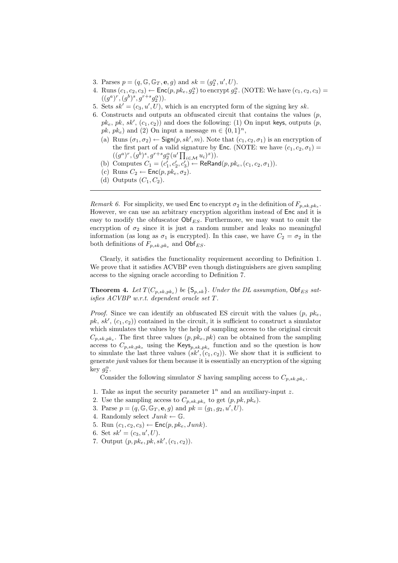- 3. Parses  $p = (q, \mathbb{G}, \mathbb{G}_T, \mathbf{e}, g)$  and  $sk = (g_2^{\alpha}, u', U)$ .
- 4. Runs  $(c_1, c_2, c_3) \leftarrow \mathsf{Enc}(p, pk_e, g_2^{\alpha})$  to encrypt  $g_2^{\alpha}$ . (NOTE: We have  $(c_1, c_2, c_3)$  =  $((g^a)^r, (g^b)^s, g^{r+s}g_2^{\alpha})).$
- 5. Sets  $sk' = (c_3, u', U)$ , which is an encrypted form of the signing key sk.
- 6. Constructs and outputs an obfuscated circuit that contains the values  $(p,$  $pk_e$ ,  $pk$ ,  $sk'$ ,  $(c_1, c_2)$ ) and does the following: (1) On input keys, outputs  $(p,$  $pk, pk_e$ ) and (2) On input a message  $m \in \{0, 1\}^n$ ,
	- (a) Runs  $(\sigma_1, \sigma_2) \leftarrow$  Sign $(p, sk', m)$ . Note that  $(c_1, c_2, \sigma_1)$  is an encryption of the first part of a valid signature by Enc. (NOTE: we have  $(c_1, c_2, \sigma_1)$  =  $((g^a)^r, (g^b)^s, g^{r+s}g_2^{\alpha}(u'\prod_{i\in\mathcal{M}}u_i)^x)).$
	- (b) Computes  $C_1 = (c'_1, c'_2, c'_3) \leftarrow \text{ReRand}(p, pk_e, (c_1, c_2, \sigma_1)).$
	- (c) Runs  $C_2 \leftarrow \text{Enc}(p, p k_e, \sigma_2)$ .
	- (d) Outputs  $(C_1, C_2)$ .

Remark 6. For simplicity, we used  $\mathsf{Enc}$  to encrypt  $\sigma_2$  in the definition of  $F_{p,sk,pk_{\varepsilon}}$ . However, we can use an arbitrary encryption algorithm instead of Enc and it is easy to modify the obfuscator  $\mathsf{Obf}_{ES}$ . Furthermore, we may want to omit the encryption of  $\sigma_2$  since it is just a random number and leaks no meaningful information (as long as  $\sigma_1$  is encrypted). In this case, we have  $C_2 = \sigma_2$  in the both definitions of  $F_{p,sk,pk_e}$  and  $\textsf{Obf}_{ES}$ .

Clearly, it satisfies the functionality requirement according to Definition 1. We prove that it satisfies ACVBP even though distinguishers are given sampling access to the signing oracle according to Definition 7.

**Theorem 4.** Let  $T(C_{p,sk,pk_e})$  be  $\{S_{p,sk}\}\$ . Under the DL assumption,  $\text{Obf}_{ES}$  satisfies ACVBP w.r.t. dependent oracle set T.

*Proof.* Since we can identify an obfuscated ES circuit with the values  $(p, p k_e)$ .  $pk, sk', (c_1, c_2)$  contained in the circuit, it is sufficient to construct a simulator which simulates the values by the help of sampling access to the original circuit  $C_{p,sk,pk_e}$ . The first three values  $(p, pk_e, pk)$  can be obtained from the sampling access to  $C_{p,sk,pk_e}$  using the  $\mathsf{Keys}_{p,sk,pk_e}$  function and so the question is how to simulate the last three values  $(sk', (c_1, c_2))$ . We show that it is sufficient to generate junk values for them because it is essentially an encryption of the signing key  $g_2^{\alpha}$ .

Consider the following simulator S having sampling access to  $C_{p,sk,pk_e}$ .

- 1. Take as input the security parameter  $1^n$  and an auxiliary-input z.
- 2. Use the sampling access to  $C_{p,sk,pk_e}$  to get  $(p,pk,pk_e)$ .
- 3. Parse  $p = (q, \mathbb{G}, \mathbb{G}_T, \mathbf{e}, g)$  and  $pk = (g_1, g_2, u', U)$ .
- 4. Randomly select  $Junk \leftarrow \mathbb{G}$ .
- 5. Run  $(c_1, c_2, c_3) \leftarrow \mathsf{Enc}(p, p k_e, Junk).$
- 6. Set  $sk' = (c_3, u', U)$ .
- 7. Output  $(p, pk, pk, sk', (c_1, c_2)).$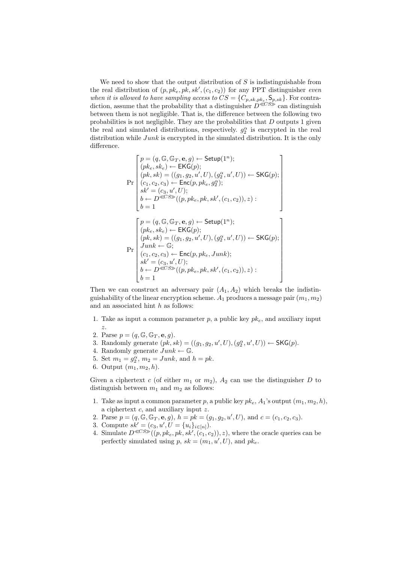We need to show that the output distribution of  $S$  is indistinguishable from the real distribution of  $(p, pk_e, pk, sk', (c_1, c_2))$  for any PPT distinguisher even when it is allowed to have sampling access to  $CS = \{C_{p,sk,pk_e}, \mathsf{S}_{p,sk}\}.$  For contradiction, assume that the probability that a distinguisher  $D^{\ll CS\gg}$  can distinguish between them is not negligible. That is, the difference between the following two probabilities is not negligible. They are the probabilities that  $D$  outputs 1 given the real and simulated distributions, respectively.  $g_2^{\alpha}$  is encrypted in the real distribution while  $Junk$  is encrypted in the simulated distribution. It is the only difference.

$$
\Pr\left[\begin{matrix}p = (q, \mathbb{G}, \mathbb{G}_T, \mathbf{e}, g) \leftarrow \mathsf{Setup}(1^n);\\(pk_e, sk_e) \leftarrow \mathsf{EKG}(p);\\(pk, sk) = ((g_1, g_2, u', U), (g_2^{\alpha}, u', U)) \leftarrow \mathsf{SKG}(p);\\(c_1, c_2, c_3) \leftarrow \mathsf{Enc}(p, pk_e, g_2^{\alpha});\\sk' = (c_3, u', U);\\b \leftarrow D^{\ll CS\gg}((p, pk_e, pk, sk', (c_1, c_2)), z):\\b = 1\right.\right.\\\left.\left.\left[\begin{matrix}p = (q, \mathbb{G}, \mathbb{G}_T, \mathbf{e}, g) \leftarrow \mathsf{Setup}(1^n);\\(pk_e, sk_e) \leftarrow \mathsf{EKG}(p);\\(pk, sk) = ((g_1, g_2, u', U), (g_2^{\alpha}, u', U)) \leftarrow \mathsf{SKG}(p);\\junk \leftarrow \mathbb{G};\\(c_1, c_2, c_3) \leftarrow \mathsf{Enc}(p, pk_e, Junk);\\sk' = (c_3, u', U);\\b \leftarrow D^{\ll CS\gg}((p, pk_e, pk, sk', (c_1, c_2)), z):\\b = 1\right.\right.\right.\\\end{matrix}\right]
$$

Then we can construct an adversary pair  $(A_1, A_2)$  which breaks the indistinguishability of the linear encryption scheme.  $A_1$  produces a message pair  $(m_1, m_2)$ and an associated hint  $h$  as follows:

- 1. Take as input a common parameter  $p$ , a public key  $pk_e$ , and auxiliary input z.
- 2. Parse  $p = (q, \mathbb{G}, \mathbb{G}_T, \mathbf{e}, g)$ .
- 3. Randomly generate  $(pk, sk) = ((g_1, g_2, u', U), (g_2^{\alpha}, u', U)) \leftarrow \text{SKG}(p)$ .
- 4. Randomly generate  $Junk \leftarrow \mathbb{G}$ .
- 5. Set  $m_1 = g_2^{\alpha}, m_2 = \text{Junk}, \text{ and } h = pk.$
- 6. Output  $(m_1, m_2, h)$ .

Given a ciphertext c (of either  $m_1$  or  $m_2$ ),  $A_2$  can use the distinguisher D to distinguish between  $m_1$  and  $m_2$  as follows:

- 1. Take as input a common parameter p, a public key  $pk_e$ ,  $A_1$ 's output  $(m_1, m_2, h)$ , a ciphertext  $c$ , and auxiliary input  $z$ .
- 2. Parse  $p = (q, \mathbb{G}, \mathbb{G}_T, \mathbf{e}, g), h = pk = (g_1, g_2, u', U), \text{ and } c = (c_1, c_2, c_3).$
- 3. Compute  $sk' = (c_3, u', U = \{u_i\}_{i \in [n]})$ .
- 4. Simulate  $D^{\ll CS\gg}((p, pk, pk, sk', (c_1, c_2)), z)$ , where the oracle queries can be perfectly simulated using p,  $sk = (m_1, u', U)$ , and  $pk_e$ .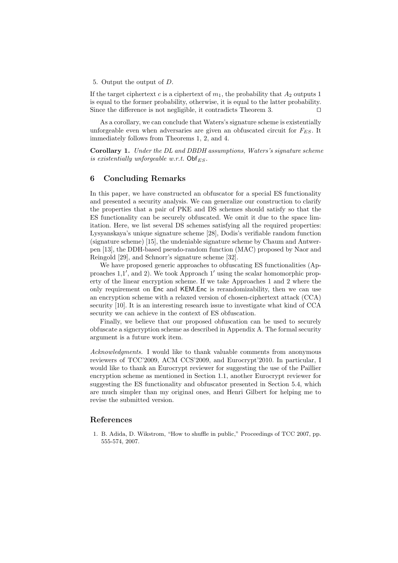5. Output the output of D.

If the target ciphertext c is a ciphertext of  $m_1$ , the probability that  $A_2$  outputs 1 is equal to the former probability, otherwise, it is equal to the latter probability. Since the difference is not negligible, it contradicts Theorem 3.  $\square$ 

As a corollary, we can conclude that Waters's signature scheme is existentially unforgeable even when adversaries are given an obfuscated circuit for  $F_{ES}$ . It immediately follows from Theorems 1, 2, and 4.

Corollary 1. Under the DL and DBDH assumptions, Waters's signature scheme is existentially unforgeable w.r.t.  $\textsf{Obf}_{ES}$ .

# 6 Concluding Remarks

In this paper, we have constructed an obfuscator for a special ES functionality and presented a security analysis. We can generalize our construction to clarify the properties that a pair of PKE and DS schemes should satisfy so that the ES functionality can be securely obfuscated. We omit it due to the space limitation. Here, we list several DS schemes satisfying all the required properties: Lysyanskaya's unique signature scheme [28], Dodis's verifiable random function (signature scheme) [15], the undeniable signature scheme by Chaum and Antwerpen [13], the DDH-based pseudo-random function (MAC) proposed by Naor and Reingold [29], and Schnorr's signature scheme [32].

We have proposed generic approaches to obfuscating ES functionalities (Approaches 1,1', and 2). We took Approach 1' using the scalar homomorphic property of the linear encryption scheme. If we take Approaches 1 and 2 where the only requirement on Enc and KEM.Enc is rerandomizability, then we can use an encryption scheme with a relaxed version of chosen-ciphertext attack (CCA) security [10]. It is an interesting research issue to investigate what kind of CCA security we can achieve in the context of ES obfuscation.

Finally, we believe that our proposed obfuscation can be used to securely obfuscate a signcryption scheme as described in Appendix A. The formal security argument is a future work item.

Acknowledgments. I would like to thank valuable comments from anonymous reviewers of TCC'2009, ACM CCS'2009, and Eurocrypt'2010. In particular, I would like to thank an Eurocrypt reviewer for suggesting the use of the Paillier encryption scheme as mentioned in Section 1.1, another Eurocrypt reviewer for suggesting the ES functionality and obfuscator presented in Section 5.4, which are much simpler than my original ones, and Henri Gilbert for helping me to revise the submitted version.

### References

1. B. Adida, D. Wikstrom, "How to shuffle in public," Proceedings of TCC 2007, pp. 555-574, 2007.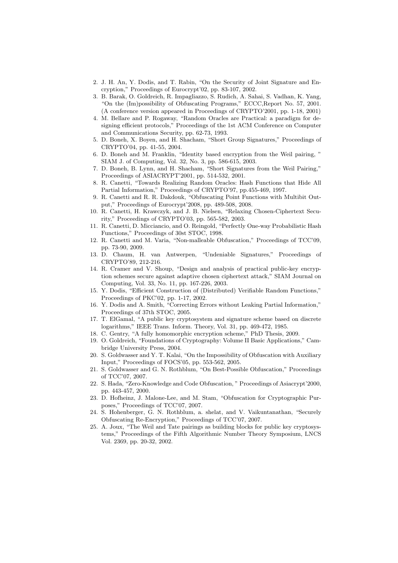- 2. J. H. An, Y. Dodis, and T. Rabin, "On the Security of Joint Signature and Encryption," Proceedings of Eurocrypt'02, pp. 83-107, 2002.
- 3. B. Barak, O. Goldreich, R. Impagliazzo, S. Rudich, A. Sahai, S. Vadhan, K. Yang, "On the (Im)possibility of Obfuscating Programs," ECCC,Report No. 57, 2001. (A conference version appeared in Proceedings of CRYPTO'2001, pp. 1-18, 2001)
- 4. M. Bellare and P. Rogaway, "Random Oracles are Practical: a paradigm for designing efficient protocols," Proceedings of the 1st ACM Conference on Computer and Communications Security, pp. 62-73, 1993.
- 5. D. Boneh, X. Boyen, and H. Shacham, "Short Group Signatures," Proceedings of CRYPTO'04, pp. 41-55, 2004.
- 6. D. Boneh and M. Franklin, "Identity based encryption from the Weil pairing, " SIAM J. of Computing, Vol. 32, No. 3, pp. 586-615, 2003.
- 7. D. Boneh, B. Lynn, and H. Shacham, "Short Signatures from the Weil Pairing," Proceedings of ASIACRYPT'2001, pp. 514-532, 2001.
- 8. R. Canetti, "Towards Realizing Random Oracles: Hash Functions that Hide All Partial Information," Proceedings of CRYPTO'97, pp.455-469, 1997.
- 9. R. Canetti and R. R. Dakdouk, "Obfuscating Point Functions with Multibit Output," Proceedings of Eurocrypt'2008, pp. 489-508, 2008.
- 10. R. Canetti, H. Krawczyk, and J. B. Nielsen, "Relaxing Chosen-Ciphertext Security," Proceedings of CRYPTO'03, pp. 565-582, 2003.
- 11. R. Canetti, D. Micciancio, and O. Reingold, "Perfectly One-way Probabilistic Hash Functions," Proceedings of 30st STOC, 1998.
- 12. R. Canetti and M. Varia, "Non-malleable Obfuscation," Proceedings of TCC'09, pp. 73-90, 2009.
- 13. D. Chaum, H. van Antwerpen, "Undeniable Signatures," Proceedings of CRYPTO'89, 212-216.
- 14. R. Cramer and V. Shoup, "Design and analysis of practical public-key encryption schemes secure against adaptive chosen ciphertext attack," SIAM Journal on Computing, Vol. 33, No. 11, pp. 167-226, 2003.
- 15. Y. Dodis, "Efficient Construction of (Distributed) Verifiable Random Functions," Proceedings of PKC'02, pp. 1-17, 2002.
- 16. Y. Dodis and A. Smith, "Correcting Errors without Leaking Partial Information," Proceedings of 37th STOC, 2005.
- 17. T. ElGamal, "A public key cryptosystem and signature scheme based on discrete logarithms," IEEE Trans. Inform. Theory, Vol. 31, pp. 469-472, 1985.
- 18. C. Gentry, "A fully homomorphic encryption scheme," PhD Thesis, 2009.
- 19. O. Goldreich, "Foundations of Cryptography: Volume II Basic Applications," Cambridge University Press, 2004.
- 20. S. Goldwasser and Y. T. Kalai, "On the Impossibility of Obfuscation with Auxiliary Input," Proceedings of FOCS'05, pp. 553-562, 2005.
- 21. S. Goldwasser and G. N. Rothblum, "On Best-Possible Obfuscation," Proceedings of TCC'07, 2007.
- 22. S. Hada, "Zero-Knowledge and Code Obfuscation, " Proceedings of Asiacrypt'2000, pp. 443-457, 2000.
- 23. D. Hofheinz, J. Malone-Lee, and M. Stam, "Obfuscation for Cryptographic Purposes," Proceedings of TCC'07, 2007.
- 24. S. Hohenberger, G. N. Rothblum, a. shelat, and V. Vaikuntanathan, "Securely Obfuscating Re-Encryption," Proceedings of TCC'07, 2007.
- 25. A. Joux, "The Weil and Tate pairings as building blocks for public key cryptosystems," Proceedings of the Fifth Algorithmic Number Theory Symposium, LNCS Vol. 2369, pp. 20-32, 2002.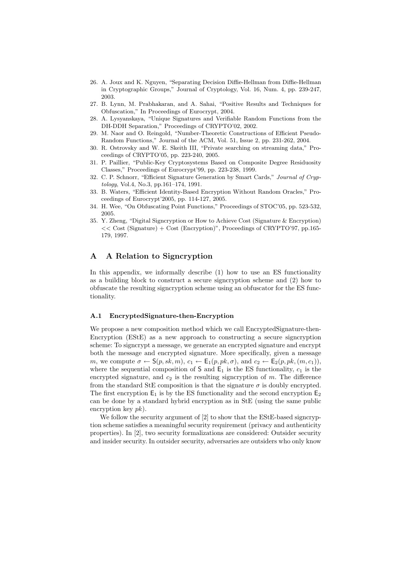- 26. A. Joux and K. Nguyen, "Separating Decision Diffie-Hellman from Diffie-Hellman in Cryptographic Groups," Journal of Cryptology, Vol. 16, Num. 4, pp. 239-247, 2003.
- 27. B. Lynn, M. Prabhakaran, and A. Sahai, "Positive Results and Techniques for Obfuscation," In Proceedings of Eurocrypt, 2004.
- 28. A. Lysyanskaya, "Unique Signatures and Verifiable Random Functions from the DH-DDH Separation," Proceedings of CRYPTO'02, 2002.
- 29. M. Naor and O. Reingold, "Number-Theoretic Constructions of Efficient Pseudo-Random Functions," Journal of the ACM, Vol. 51, Issue 2, pp. 231-262, 2004.
- 30. R. Ostrovsky and W. E. Skeith III, "Private searching on streaming data," Proceedings of CRYPTO'05, pp. 223-240, 2005.
- 31. P. Paillier, "Public-Key Cryptosystems Based on Composite Degree Residuosity Classes," Proceedings of Eurocrypt'99, pp. 223-238, 1999.
- 32. C. P. Schnorr, "Efficient Signature Generation by Smart Cards," Journal of Cryptology, Vol.4, No.3, pp.161–174, 1991.
- 33. B. Waters, "Efficient Identity-Based Encryption Without Random Oracles," Proceedings of Eurocrypt'2005, pp. 114-127, 2005.
- 34. H. Wee, "On Obfuscating Point Functions," Proceedings of STOC'05, pp. 523-532, 2005.
- 35. Y. Zheng, "Digital Signcryption or How to Achieve Cost (Signature & Encryption) << Cost (Signature) + Cost (Encryption)", Proceedings of CRYPTO'97, pp.165- 179, 1997.

# A A Relation to Signcryption

In this appendix, we informally describe (1) how to use an ES functionality as a building block to construct a secure signcryption scheme and (2) how to obfuscate the resulting signcryption scheme using an obfuscator for the ES functionality.

#### A.1 EncryptedSignature-then-Encryption

We propose a new composition method which we call EncryptedSignature-then-Encryption (EStE) as a new approach to constructing a secure signcryption scheme: To signcrypt a message, we generate an encrypted signature and encrypt both the message and encrypted signature. More specifically, given a message m, we compute  $\sigma \leftarrow S(p, sk, m), c_1 \leftarrow E_1(p, pk, \sigma),$  and  $c_2 \leftarrow E_2(p, pk, (m, c_1)),$ where the sequential composition of  $S$  and  $E_1$  is the ES functionality,  $c_1$  is the encrypted signature, and  $c_2$  is the resulting signcryption of  $m$ . The difference from the standard StE composition is that the signature  $\sigma$  is doubly encrypted. The first encryption  $E_1$  is by the ES functionality and the second encryption  $E_2$ can be done by a standard hybrid encryption as in StE (using the same public encryption key  $pk$ ).

We follow the security argument of [2] to show that the EStE-based signcryption scheme satisfies a meaningful security requirement (privacy and authenticity properties). In [2], two security formalizations are considered: Outsider security and insider security. In outsider security, adversaries are outsiders who only know